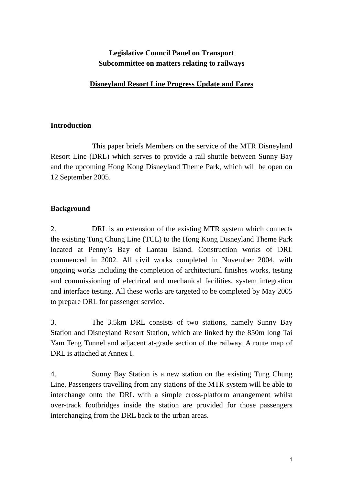# **Legislative Council Panel on Transport Subcommittee on matters relating to railways**

# **Disneyland Resort Line Progress Update and Fares**

#### **Introduction**

This paper briefs Members on the service of the MTR Disneyland Resort Line (DRL) which serves to provide a rail shuttle between Sunny Bay and the upcoming Hong Kong Disneyland Theme Park, which will be open on 12 September 2005.

# **Background**

2. DRL is an extension of the existing MTR system which connects the existing Tung Chung Line (TCL) to the Hong Kong Disneyland Theme Park located at Penny's Bay of Lantau Island. Construction works of DRL commenced in 2002. All civil works completed in November 2004, with ongoing works including the completion of architectural finishes works, testing and commissioning of electrical and mechanical facilities, system integration and interface testing. All these works are targeted to be completed by May 2005 to prepare DRL for passenger service.

3. The 3.5km DRL consists of two stations, namely Sunny Bay Station and Disneyland Resort Station, which are linked by the 850m long Tai Yam Teng Tunnel and adjacent at-grade section of the railway. A route map of DRL is attached at Annex I.

4. Sunny Bay Station is a new station on the existing Tung Chung Line. Passengers travelling from any stations of the MTR system will be able to interchange onto the DRL with a simple cross-platform arrangement whilst over-track footbridges inside the station are provided for those passengers interchanging from the DRL back to the urban areas.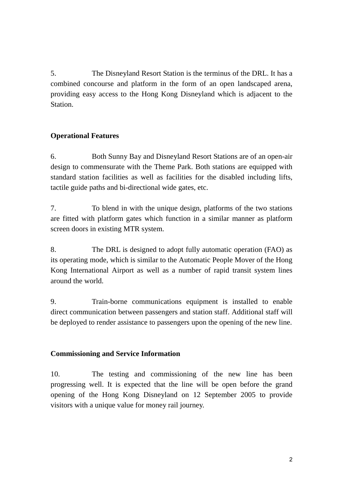5. The Disneyland Resort Station is the terminus of the DRL. It has a combined concourse and platform in the form of an open landscaped arena, providing easy access to the Hong Kong Disneyland which is adjacent to the Station.

#### **Operational Features**

6. Both Sunny Bay and Disneyland Resort Stations are of an open-air design to commensurate with the Theme Park. Both stations are equipped with standard station facilities as well as facilities for the disabled including lifts, tactile guide paths and bi-directional wide gates, etc.

7. To blend in with the unique design, platforms of the two stations are fitted with platform gates which function in a similar manner as platform screen doors in existing MTR system.

8. The DRL is designed to adopt fully automatic operation (FAO) as its operating mode, which is similar to the Automatic People Mover of the Hong Kong International Airport as well as a number of rapid transit system lines around the world.

9. Train-borne communications equipment is installed to enable direct communication between passengers and station staff. Additional staff will be deployed to render assistance to passengers upon the opening of the new line.

#### **Commissioning and Service Information**

10. The testing and commissioning of the new line has been progressing well. It is expected that the line will be open before the grand opening of the Hong Kong Disneyland on 12 September 2005 to provide visitors with a unique value for money rail journey.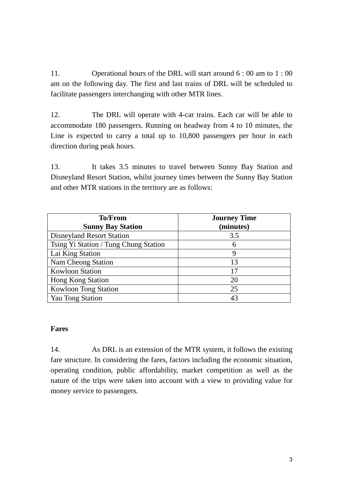11. Operational hours of the DRL will start around 6 : 00 am to 1 : 00 am on the following day. The first and last trains of DRL will be scheduled to facilitate passengers interchanging with other MTR lines.

12. The DRL will operate with 4-car trains. Each car will be able to accommodate 180 passengers. Running on headway from 4 to 10 minutes, the Line is expected to carry a total up to 10,800 passengers per hour in each direction during peak hours.

13. It takes 3.5 minutes to travel between Sunny Bay Station and Disneyland Resort Station, whilst journey times between the Sunny Bay Station and other MTR stations in the territory are as follows:

| <b>To/From</b>                        | <b>Journey Time</b> |
|---------------------------------------|---------------------|
| <b>Sunny Bay Station</b>              | (minutes)           |
| <b>Disneyland Resort Station</b>      | 3.5                 |
| Tsing Yi Station / Tung Chung Station | 6                   |
| Lai King Station                      | 9                   |
| Nam Cheong Station                    | 13                  |
| <b>Kowloon Station</b>                | 17                  |
| <b>Hong Kong Station</b>              | 20                  |
| <b>Kowloon Tong Station</b>           | 25                  |
| <b>Yau Tong Station</b>               | 43                  |

#### **Fares**

14. As DRL is an extension of the MTR system, it follows the existing fare structure. In considering the fares, factors including the economic situation, operating condition, public affordability, market competition as well as the nature of the trips were taken into account with a view to providing value for money service to passengers.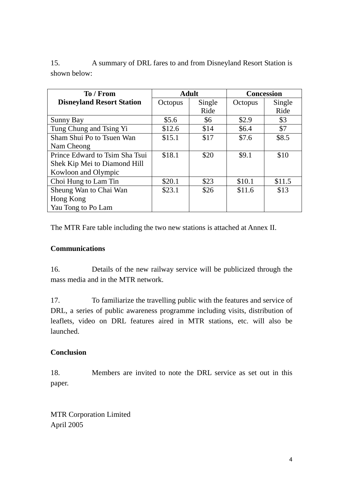| To / From                        |         | <b>Adult</b> | <b>Concession</b> |        |  |  |  |  |  |  |  |  |  |
|----------------------------------|---------|--------------|-------------------|--------|--|--|--|--|--|--|--|--|--|
| <b>Disneyland Resort Station</b> | Octopus | Single       | Octopus           | Single |  |  |  |  |  |  |  |  |  |
|                                  |         | Ride         |                   | Ride   |  |  |  |  |  |  |  |  |  |
| Sunny Bay                        | \$5.6   | \$6          | \$2.9             | \$3    |  |  |  |  |  |  |  |  |  |
| Tung Chung and Tsing Yi          | \$12.6  | \$14         | \$6.4             | \$7    |  |  |  |  |  |  |  |  |  |
| Sham Shui Po to Tsuen Wan        | \$15.1  | \$17         | \$7.6             | \$8.5  |  |  |  |  |  |  |  |  |  |
| Nam Cheong                       |         |              |                   |        |  |  |  |  |  |  |  |  |  |
| Prince Edward to Tsim Sha Tsui   | \$18.1  | \$20         | \$9.1             | \$10   |  |  |  |  |  |  |  |  |  |
| Shek Kip Mei to Diamond Hill     |         |              |                   |        |  |  |  |  |  |  |  |  |  |
| Kowloon and Olympic              |         |              |                   |        |  |  |  |  |  |  |  |  |  |
| Choi Hung to Lam Tin             | \$20.1  | \$23         | \$10.1            | \$11.5 |  |  |  |  |  |  |  |  |  |
| Sheung Wan to Chai Wan           | \$23.1  | \$26         | \$11.6            | \$13   |  |  |  |  |  |  |  |  |  |
| Hong Kong                        |         |              |                   |        |  |  |  |  |  |  |  |  |  |
| Yau Tong to Po Lam               |         |              |                   |        |  |  |  |  |  |  |  |  |  |

15. A summary of DRL fares to and from Disneyland Resort Station is shown below:

The MTR Fare table including the two new stations is attached at Annex II.

# **Communications**

16. Details of the new railway service will be publicized through the mass media and in the MTR network.

17. To familiarize the travelling public with the features and service of DRL, a series of public awareness programme including visits, distribution of leaflets, video on DRL features aired in MTR stations, etc. will also be launched.

# **Conclusion**

18. Members are invited to note the DRL service as set out in this paper.

MTR Corporation Limited April 2005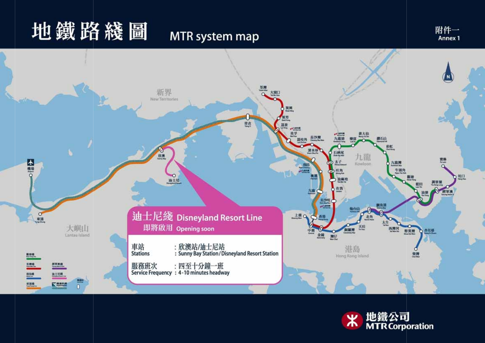# 地鐵路綫圖

# MTR system map





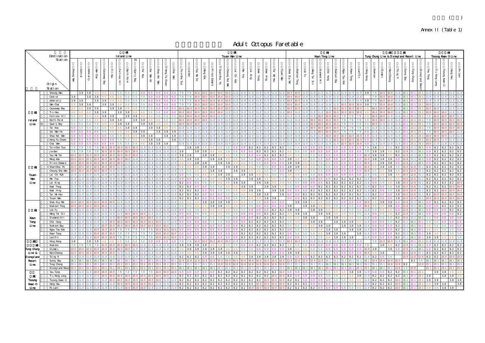# Annex II (Table 1)

 $($   $)$ 

Adult Octopus Faretable

|                       | Destination                          | 纄<br>Island Line                   |                  |                |                      |                                   |                   |             |                           |                         |                       |                                                                            |      |                      | 綫<br>Tsuen Van Line                                                                                               |          |               |                                     |                 |         |                                                             |                 |                               |           |             |            |           |                                 | 錦<br>Kwan Tong Line  |                |                                                                                        |                | Tung Chung Line & Disneyland Resort Line |           | 纔                                                                                                                                                                                                                                                                                                                                                                                                                                                                                                                                                            |                                                   |                                                                     | 綫<br>Tseung Kwan Oline      |                             |                                     |                           |     |
|-----------------------|--------------------------------------|------------------------------------|------------------|----------------|----------------------|-----------------------------------|-------------------|-------------|---------------------------|-------------------------|-----------------------|----------------------------------------------------------------------------|------|----------------------|-------------------------------------------------------------------------------------------------------------------|----------|---------------|-------------------------------------|-----------------|---------|-------------------------------------------------------------|-----------------|-------------------------------|-----------|-------------|------------|-----------|---------------------------------|----------------------|----------------|----------------------------------------------------------------------------------------|----------------|------------------------------------------|-----------|--------------------------------------------------------------------------------------------------------------------------------------------------------------------------------------------------------------------------------------------------------------------------------------------------------------------------------------------------------------------------------------------------------------------------------------------------------------------------------------------------------------------------------------------------------------|---------------------------------------------------|---------------------------------------------------------------------|-----------------------------|-----------------------------|-------------------------------------|---------------------------|-----|
|                       | Station                              |                                    |                  |                |                      |                                   |                   |             |                           |                         |                       |                                                                            |      |                      |                                                                                                                   |          |               |                                     |                 |         |                                                             |                 |                               |           |             |            |           |                                 |                      |                |                                                                                        |                |                                          |           |                                                                                                                                                                                                                                                                                                                                                                                                                                                                                                                                                              |                                                   |                                                                     |                             |                             |                                     |                           |     |
|                       | Origin<br>Station                    | Central<br>呙<br><b>Vain</b>        | <b>Admiralty</b> | l¥n<br>$G$ nai | Bevay<br>B)          | $\frac{\pi}{n}$<br>$\overline{F}$ | Fortress<br>$\Xi$ | North Point | Quary<br>ष्ट्य            | $\overline{\mathbf{g}}$ | Sai<br><b>Vain Ho</b> | Herg<br>$\overline{\mathbf{e}}_1$<br>Ñ.<br>$\mbox{\bf \large qmen}$<br>l¥n | 蚤    | <b>EimSta</b><br>Esu | K<br>Eg                                                                                                           | Morg Kok | Prince Edward | <b>Cheung Sha Var</b><br>inRms<br>Έ | ਦੁ<br>Ķók       | ě<br>Ęø | E.<br>$\mathbf{g}\,\mathbf{r}$<br>$\mathbb{R}^{\text{reg}}$ | $_{\rm{BuH}}$   | 힖<br>$W\,\mathrm{Hm}$         | Ψm        | 옷<br>ib Nái | Kow on Tag | F         | □<br>ď<br>IIH broor<br>E,<br>αn | Ga<br>$_{\rm{Bung}}$ | $\cos$ Bay     | $\operatorname*{Sug}% \nolimits_{\mathbb{Z}}\left( \mathbb{Z}\right) ^{2}$<br>Γgι<br>Ř | LanTin         | Kowoon<br>Яъ<br>$g_{\rm LDA}$            | $\sigma$  | $\operatorname*{H}\nolimits_{\operatorname*{supp}\nolimits}% \mathcal{M}(G)=\operatorname*{H}\nolimits_{\operatorname*{supp}\nolimits}% \mathcal{M}(G)=\operatorname*{H}\nolimits_{\operatorname*{supp}\nolimits}% \mathcal{M}(G)=\operatorname*{H}\nolimits_{\operatorname*{supp}\nolimits}% \mathcal{M}(G)=\operatorname*{H}\nolimits_{\operatorname*{supp}\nolimits}% \mathcal{M}(G)=\operatorname*{H}\nolimits_{\operatorname*{supp}\nolimits}% \mathcal{M}(G)=\operatorname*{H}\nolimits_{\operatorname*{supp}\nolimits}% \mathcal{M}(G)=\operatorname$ | Birg<br>€<br>$\mathbbmss{}$<br>Yed                | $\mbox{Im} \beta$ dung<br><b>Eyland</b><br>ਡ                        | $\mathop{\rm arg}\nolimits$ | ᄇ<br>u ƙerg<br>$_{\rm BIG}$ | Tseung Kwan<br>$\circ$              | Hang Hau                  | प्त |
|                       | Sheung Wan                           |                                    | 38 38            |                |                      |                                   |                   |             |                           |                         |                       |                                                                            |      |                      |                                                                                                                   |          |               |                                     |                 |         |                                                             |                 |                               |           |             |            |           |                                 |                      |                |                                                                                        |                | 38                                       |           |                                                                                                                                                                                                                                                                                                                                                                                                                                                                                                                                                              |                                                   |                                                                     |                             |                             |                                     |                           |     |
|                       | Central                              | 38                                 | 38               | 38             |                      |                                   |                   |             |                           |                         |                       |                                                                            |      |                      |                                                                                                                   |          |               |                                     |                 |         |                                                             |                 |                               |           |             |            |           |                                 |                      |                |                                                                                        |                |                                          |           |                                                                                                                                                                                                                                                                                                                                                                                                                                                                                                                                                              |                                                   |                                                                     |                             |                             |                                     |                           |     |
|                       | Admiralty                            | 38<br>38                           |                  | 38             | 38                   |                                   |                   |             |                           |                         |                       |                                                                            |      |                      |                                                                                                                   |          |               |                                     |                 |         |                                                             |                 |                               |           |             |            |           |                                 |                      |                |                                                                                        |                |                                          |           |                                                                                                                                                                                                                                                                                                                                                                                                                                                                                                                                                              |                                                   |                                                                     |                             |                             |                                     |                           |     |
|                       | Van Chai                             |                                    | 38 38            |                | 38                   |                                   |                   |             |                           |                         |                       |                                                                            |      |                      |                                                                                                                   |          |               |                                     |                 |         |                                                             |                 |                               |           |             |            |           |                                 |                      |                |                                                                                        |                |                                          |           |                                                                                                                                                                                                                                                                                                                                                                                                                                                                                                                                                              |                                                   |                                                                     |                             |                             |                                     |                           |     |
|                       | Causeway Bay                         |                                    | 38               | 38             |                      | 38                                |                   |             |                           |                         |                       |                                                                            |      |                      |                                                                                                                   |          |               |                                     |                 |         |                                                             |                 |                               |           |             |            |           |                                 |                      |                |                                                                                        |                |                                          |           |                                                                                                                                                                                                                                                                                                                                                                                                                                                                                                                                                              |                                                   |                                                                     |                             |                             |                                     |                           |     |
|                       | Tin Hau<br>Fortress H11              |                                    |                  | 38             | 38<br>38             |                                   | 38                | 38<br>38    | 38                        |                         |                       |                                                                            |      |                      |                                                                                                                   |          |               |                                     |                 |         |                                                             |                 |                               |           |             |            |           |                                 |                      |                |                                                                                        |                |                                          |           |                                                                                                                                                                                                                                                                                                                                                                                                                                                                                                                                                              |                                                   |                                                                     |                             |                             |                                     |                           |     |
| Island                | North Point                          |                                    |                  |                |                      |                                   |                   |             | 38                        |                         |                       |                                                                            |      |                      |                                                                                                                   |          |               |                                     |                 |         |                                                             |                 |                               |           |             |            |           |                                 |                      |                |                                                                                        |                |                                          |           |                                                                                                                                                                                                                                                                                                                                                                                                                                                                                                                                                              |                                                   |                                                                     |                             |                             |                                     |                           |     |
| Line                  | <b>Quarry Bay</b>                    |                                    |                  |                |                      |                                   | 38                | 38          |                           |                         | 38 38                 |                                                                            |      |                      |                                                                                                                   |          |               |                                     |                 |         |                                                             |                 |                               |           |             |            |           |                                 |                      |                |                                                                                        |                |                                          |           |                                                                                                                                                                                                                                                                                                                                                                                                                                                                                                                                                              |                                                   |                                                                     |                             |                             |                                     |                           |     |
|                       | Tai Koo                              |                                    |                  |                |                      |                                   |                   | 38          | 38                        |                         | 38                    | 3 R                                                                        |      |                      |                                                                                                                   |          |               |                                     |                 |         |                                                             |                 |                               |           |             |            |           |                                 |                      |                |                                                                                        |                |                                          |           |                                                                                                                                                                                                                                                                                                                                                                                                                                                                                                                                                              |                                                   |                                                                     |                             |                             |                                     |                           |     |
|                       | Sai Wan Ho                           |                                    |                  |                |                      |                                   |                   |             | 38                        | 38                      |                       | 38<br>38                                                                   |      |                      |                                                                                                                   |          |               |                                     |                 |         |                                                             |                 |                               |           |             |            |           |                                 |                      |                |                                                                                        |                |                                          |           |                                                                                                                                                                                                                                                                                                                                                                                                                                                                                                                                                              |                                                   |                                                                     |                             |                             |                                     |                           |     |
|                       | Shau Kei Vain                        |                                    |                  |                |                      |                                   |                   |             |                           |                         | $38 \mid 38$          | 38                                                                         | 38   |                      |                                                                                                                   |          |               |                                     |                 |         |                                                             |                 |                               |           |             |            |           |                                 |                      |                |                                                                                        |                |                                          |           |                                                                                                                                                                                                                                                                                                                                                                                                                                                                                                                                                              |                                                   |                                                                     |                             |                             |                                     |                           |     |
|                       | 邨 Heng Fa Chuen                      |                                    |                  |                |                      |                                   |                   |             |                           |                         | 38                    |                                                                            |      |                      |                                                                                                                   |          |               |                                     |                 |         |                                                             |                 |                               |           |             |            |           |                                 |                      |                |                                                                                        |                |                                          |           |                                                                                                                                                                                                                                                                                                                                                                                                                                                                                                                                                              |                                                   |                                                                     |                             |                             |                                     |                           |     |
|                       | Chai Wan                             |                                    |                  |                |                      |                                   |                   |             |                           |                         |                       |                                                                            |      |                      |                                                                                                                   |          |               |                                     |                 |         |                                                             |                 |                               |           |             |            |           |                                 |                      |                |                                                                                        |                |                                          |           |                                                                                                                                                                                                                                                                                                                                                                                                                                                                                                                                                              |                                                   |                                                                     |                             |                             |                                     |                           |     |
|                       | Tsi mSha Tsui                        |                                    |                  |                |                      |                                   |                   |             |                           |                         |                       |                                                                            |      |                      | 38<br>38                                                                                                          |          |               |                                     |                 |         |                                                             |                 |                               |           |             |            |           |                                 |                      |                |                                                                                        |                |                                          |           |                                                                                                                                                                                                                                                                                                                                                                                                                                                                                                                                                              |                                                   |                                                                     |                             |                             |                                     |                           |     |
|                       | Jordan<br>Yau Ma Tei                 |                                    |                  |                |                      |                                   |                   |             |                           |                         |                       |                                                                            |      |                      | 38<br>38                                                                                                          | 38<br>38 | 38            |                                     |                 |         |                                                             |                 |                               |           |             |            |           |                                 |                      |                |                                                                                        |                |                                          |           |                                                                                                                                                                                                                                                                                                                                                                                                                                                                                                                                                              |                                                   |                                                                     |                             | 82                          |                                     |                           |     |
|                       | Mong Kok                             |                                    |                  |                |                      |                                   |                   |             |                           |                         |                       |                                                                            |      |                      | 38<br>38                                                                                                          |          | 38            |                                     |                 |         |                                                             |                 |                               |           |             |            |           |                                 |                      |                |                                                                                        |                |                                          |           |                                                                                                                                                                                                                                                                                                                                                                                                                                                                                                                                                              |                                                   |                                                                     |                             |                             |                                     |                           |     |
|                       | Prince Edward                        |                                    |                  |                |                      |                                   |                   |             |                           |                         |                       |                                                                            |      |                      | 38                                                                                                                | 38       |               | 38<br>38                            |                 |         |                                                             |                 |                               |           | 38          |            |           |                                 |                      |                |                                                                                        |                |                                          |           |                                                                                                                                                                                                                                                                                                                                                                                                                                                                                                                                                              |                                                   |                                                                     |                             |                             |                                     |                           |     |
| 湖                     | 埗 ShamShui Po                        |                                    |                  |                |                      |                                   |                   |             |                           |                         |                       |                                                                            |      |                      |                                                                                                                   | 38       | 38            | 38                                  | 38              |         |                                                             |                 |                               |           | 38          | 38         |           |                                 |                      |                |                                                                                        |                |                                          |           |                                                                                                                                                                                                                                                                                                                                                                                                                                                                                                                                                              |                                                   |                                                                     |                             |                             |                                     |                           |     |
|                       | Cheung Sha Wan                       |                                    |                  |                |                      |                                   |                   |             |                           |                         |                       |                                                                            |      |                      |                                                                                                                   |          | 38            | 38                                  | 38              |         |                                                             |                 |                               |           | 38          |            |           |                                 |                      |                |                                                                                        |                |                                          |           |                                                                                                                                                                                                                                                                                                                                                                                                                                                                                                                                                              |                                                   |                                                                     |                             |                             |                                     |                           |     |
| Tsuen                 | Lai Chi Kok                          |                                    |                  |                |                      |                                   |                   |             |                           |                         |                       |                                                                            |      |                      |                                                                                                                   |          |               | 38                                  |                 | 38      | 38                                                          |                 |                               |           |             |            |           |                                 |                      |                |                                                                                        |                |                                          |           |                                                                                                                                                                                                                                                                                                                                                                                                                                                                                                                                                              |                                                   |                                                                     |                             |                             |                                     |                           |     |
| Vain                  | Mei Foo                              |                                    |                  |                |                      |                                   |                   |             |                           |                         |                       |                                                                            |      |                      |                                                                                                                   |          |               |                                     |                 |         | 38                                                          |                 |                               |           |             |            |           |                                 |                      |                |                                                                                        |                |                                          |           |                                                                                                                                                                                                                                                                                                                                                                                                                                                                                                                                                              |                                                   |                                                                     |                             |                             |                                     |                           |     |
| Line                  | Lai King                             |                                    |                  |                |                      |                                   |                   |             |                           |                         |                       |                                                                            |      |                      |                                                                                                                   |          |               |                                     | 38              | 38      | 38                                                          | 38              |                               |           |             |            |           |                                 |                      |                |                                                                                        |                |                                          |           |                                                                                                                                                                                                                                                                                                                                                                                                                                                                                                                                                              |                                                   |                                                                     |                             |                             |                                     |                           |     |
|                       | Kvai Fong<br>Kwai Hng                |                                    |                  |                |                      |                                   |                   |             |                           |                         |                       |                                                                            |      | 82                   | 82<br>82<br>82                                                                                                    |          |               |                                     |                 | 38      | 38<br>38<br>38                                              | 38 <sup>1</sup> | 38<br>38                      | 38        |             |            |           | 82                              |                      | 82<br>82       |                                                                                        | 82<br>82       | 82<br>82                                 |           |                                                                                                                                                                                                                                                                                                                                                                                                                                                                                                                                                              |                                                   |                                                                     |                             |                             |                                     |                           |     |
|                       | Tai Wo Hau                           |                                    |                  |                |                      |                                   |                   |             |                           |                         |                       |                                                                            |      |                      | 82<br>82                                                                                                          |          |               |                                     |                 |         | 38                                                          | 38              |                               | 38        |             |            |           | 82                              |                      |                |                                                                                        | 82             | 82                                       |           |                                                                                                                                                                                                                                                                                                                                                                                                                                                                                                                                                              | 38                                                |                                                                     |                             |                             |                                     |                           |     |
|                       | Tsuen Van                            |                                    |                  |                |                      |                                   |                   |             |                           |                         |                       |                                                                            |      |                      |                                                                                                                   |          |               |                                     |                 |         |                                                             |                 |                               |           |             |            |           |                                 |                      |                |                                                                                        |                |                                          |           |                                                                                                                                                                                                                                                                                                                                                                                                                                                                                                                                                              |                                                   |                                                                     |                             |                             |                                     |                           |     |
|                       | Shek Kip Mei                         |                                    |                  |                |                      |                                   |                   |             |                           |                         |                       |                                                                            |      |                      |                                                                                                                   |          |               |                                     |                 |         |                                                             |                 |                               |           |             |            |           |                                 |                      |                |                                                                                        |                |                                          |           |                                                                                                                                                                                                                                                                                                                                                                                                                                                                                                                                                              |                                                   |                                                                     |                             |                             |                                     |                           |     |
|                       | Kowl con Tong                        |                                    |                  |                |                      |                                   |                   |             |                           |                         |                       |                                                                            |      |                      |                                                                                                                   |          |               |                                     |                 |         |                                                             |                 |                               |           | 38          |            | 38        | 38                              |                      |                |                                                                                        |                |                                          |           |                                                                                                                                                                                                                                                                                                                                                                                                                                                                                                                                                              |                                                   |                                                                     |                             |                             |                                     |                           |     |
| 纔                     | Lok Fu                               |                                    |                  |                |                      |                                   |                   |             |                           |                         |                       |                                                                            |      |                      |                                                                                                                   |          |               |                                     |                 |         |                                                             |                 | 82                            | 82        | 38          | 38         |           | 38<br>38                        |                      |                |                                                                                        |                |                                          |           |                                                                                                                                                                                                                                                                                                                                                                                                                                                                                                                                                              |                                                   |                                                                     |                             |                             |                                     |                           |     |
|                       | Wong Tai Sin                         |                                    |                  |                |                      |                                   |                   |             |                           |                         |                       |                                                                            |      |                      |                                                                                                                   |          |               |                                     |                 |         |                                                             |                 |                               |           |             | 38         |           | 38                              |                      |                |                                                                                        |                |                                          |           |                                                                                                                                                                                                                                                                                                                                                                                                                                                                                                                                                              |                                                   |                                                                     |                             |                             |                                     |                           | 82  |
| Kvan                  | Dianond H <sub>11</sub><br>Choi Hung |                                    |                  |                |                      |                                   |                   |             |                           |                         |                       |                                                                            |      |                      |                                                                                                                   |          |               |                                     |                 |         | 82                                                          |                 | 82                            | 82        |             |            | 38        | 38<br>38<br>38                  | 38                   | 38<br>38       | 38<br>38                                                                               |                |                                          |           |                                                                                                                                                                                                                                                                                                                                                                                                                                                                                                                                                              | 82                                                |                                                                     |                             |                             |                                     |                           |     |
| Tong<br>Line          | Kowl con Bay                         |                                    |                  |                |                      |                                   |                   |             |                           |                         |                       |                                                                            |      |                      |                                                                                                                   |          |               |                                     |                 | 82      | 82                                                          |                 | 82                            | 82        |             |            |           | 38                              | 38                   |                | 38<br>38                                                                               | 38             |                                          |           |                                                                                                                                                                                                                                                                                                                                                                                                                                                                                                                                                              | 82                                                | 18 <sup>1</sup>                                                     |                             |                             |                                     |                           |     |
|                       | Ngau Tau Kok                         |                                    |                  |                |                      |                                   |                   |             |                           |                         |                       |                                                                            |      |                      |                                                                                                                   |          |               |                                     |                 |         | 82                                                          |                 | 82                            | 82        |             |            |           |                                 | 38                   | 38             | 38                                                                                     |                |                                          |           |                                                                                                                                                                                                                                                                                                                                                                                                                                                                                                                                                              | 82                                                |                                                                     |                             |                             |                                     |                           |     |
|                       | Kwun Tong                            | 11.8 11.8 11.8                     |                  |                | 100100               |                                   |                   |             | $100$ 7.9 7.9 7.9 7.9 7.9 |                         |                       | $\Omega$ $\Omega$ $\Omega$ $\Omega$                                        | 10 O |                      |                                                                                                                   |          |               |                                     |                 |         | 82 82 82 82 82 82                                           |                 |                               |           |             | 56         |           | 5.6                             |                      | 38 38 38       |                                                                                        |                | 38 11.8                                  |           |                                                                                                                                                                                                                                                                                                                                                                                                                                                                                                                                                              | 8 8 2                                             | 51181                                                               | 38                          |                             | 46                                  | $56\quad 56$              |     |
|                       | LamTin                               | 11.8                               |                  |                |                      |                                   |                   | 7.9         | 7.9                       |                         | 7.9                   |                                                                            |      |                      |                                                                                                                   |          |               |                                     |                 |         | 82 82 82                                                    |                 | 82 82 82                      |           |             |            |           |                                 |                      | 38             | 38 38                                                                                  |                |                                          |           |                                                                                                                                                                                                                                                                                                                                                                                                                                                                                                                                                              | 82                                                | 18 1                                                                | 38                          | 38                          |                                     | 46                        | 56  |
| 綫                     | Hong Kong                            | 38                                 |                  | 38 38 46       |                      |                                   |                   |             | 46 46 56 56 56            |                         |                       |                                                                            |      |                      |                                                                                                                   |          |               |                                     |                 |         |                                                             |                 | 11.8 11.8 11.8 10.0 10.0 11.8 |           |             |            |           | 11.8 11.8                       |                      | 11.8 11.8      |                                                                                        | 11.8 11.8 11.8 |                                          |           |                                                                                                                                                                                                                                                                                                                                                                                                                                                                                                                                                              | 7.9 10.0 10.0 11.8 18.1                           | 20 1 23 1                                                           |                             |                             | 11.8 11.8 11.8 11.8 11.8            |                           |     |
| 綫                     | Kowl con                             | $7.9$ $7.9$ $7.9$ $7.9$ $10.0$     |                  |                |                      |                                   |                   |             | 100100100100100           |                         |                       | 1.8 11.8                                                                   |      |                      | 38 38 38 38                                                                                                       |          |               |                                     | 56              |         |                                                             |                 | 82828282                      |           |             | 56         |           |                                 |                      |                |                                                                                        |                | 7.9                                      | 38        | 46 82                                                                                                                                                                                                                                                                                                                                                                                                                                                                                                                                                        |                                                   | 181                                                                 |                             |                             | 82 82 82 82                         |                           |     |
| Tung Chung            | Ol ympic                             | 10010010010010010010010010010011.8 |                  |                |                      |                                   |                   |             |                           | 11.8                    |                       | 11.8                                                                       |      | 4.6                  | 38 38 38 38 38                                                                                                    |          |               | 46                                  |                 | 46 56   | 56 68                                                       |                 |                               |           | 38          | 46         |           | 56<br>56                        |                      |                |                                                                                        |                | 10038                                    |           | 38                                                                                                                                                                                                                                                                                                                                                                                                                                                                                                                                                           | 126                                               | $\frac{1}{1}$ 18 1                                                  |                             |                             | 82 82 82 82<br>$151$ 82 82 82 82 82 |                           |     |
| Line &<br>D sneyl and | NamCheong<br>Tsing Yi                | 10 0 10 0 10 0<br>11.8 11.8 11.8   |                  |                | 1001100<br>11.8 11.8 |                                   | 10011.8           |             | 11.8 11.8 11.8 11.8       |                         | 11.8                  | 1.8 11.8<br>11.8 11.8                                                      | 11.8 | 56                   | 46<br>82 82 82                                                                                                    |          |               | 46 38 38 38 38 38<br>56<br>56       | 46              | 46      | 46 56<br>46 38 38 38 38 38                                  | 56              |                               |           | 38 38       | 3.8        |           | 46                              | 56                   | 82828282828282 |                                                                                        |                | 1004638<br>11.8 82                       |           | 56                                                                                                                                                                                                                                                                                                                                                                                                                                                                                                                                                           | 56                                                | 100126<br>100126                                                    | 26 82 82                    |                             | 100                                 | 1001100                   |     |
| Resort                | Sunny Bay                            | 18 1 18 1 18 1 18 1 18 1 18 1      |                  |                |                      |                                   |                   |             |                           |                         |                       |                                                                            |      |                      | $126$ $126$ $126$ $126$ $126$ $126$ $100$ $100$ $100$ $100$ $100$ $100$ $100$ $100$ $100$ $100$ $100$ $100$ $126$ |          |               |                                     |                 |         |                                                             |                 |                               |           |             |            | 12 6 12 6 | 126                             |                      |                |                                                                                        |                | 15 1 18 1 12 6 12 6                      |           | 100100                                                                                                                                                                                                                                                                                                                                                                                                                                                                                                                                                       |                                                   | 82<br>56                                                            |                             |                             | 18 1 18 1 18 1 18 1 18 1            |                           |     |
| Line                  | Tung Chung                           |                                    |                  |                |                      |                                   |                   |             |                           |                         |                       | $231$ $231$ $231$ $231$ $231$ $231$ $231$ $231$                            |      | 151                  | 15.1                                                                                                              | 151151   |               | 126                                 | 12 6 12 6       | 126     | 12 6 12 6                                                   |                 | 126 126                       |           |             |            |           |                                 |                      | 18 1 18 1      |                                                                                        | 18 1 18 1 18 1 |                                          |           |                                                                                                                                                                                                                                                                                                                                                                                                                                                                                                                                                              | $126$ $126$ $82$                                  |                                                                     |                             |                             |                                     |                           |     |
|                       |                                      |                                    |                  |                |                      |                                   |                   |             |                           | 23 1 23 1               |                       | 23 1 23 1                                                                  | 23 1 |                      | 18 1 18 1 18 1 18 1 18 1                                                                                          |          |               | 15 <sub>1</sub>                     | 15 <sub>1</sub> |         | 15 1 15 1 15 1                                              |                 | $151 \quad 151$               | 15 1 18 1 |             | 18 1       | 18 1      | 18 1                            |                      |                |                                                                                        |                | 23 1                                     | 18 1 18 1 | 15.1                                                                                                                                                                                                                                                                                                                                                                                                                                                                                                                                                         |                                                   | 56 126                                                              |                             |                             | 23 1 23 1 23 1 23 1 23 1            |                           |     |
|                       | Yau Tong                             |                                    |                  |                | 1001100              |                                   |                   |             | 100 7.9 7.9 7.9 7.9 7.9   |                         |                       | 100100                                                                     |      |                      |                                                                                                                   |          |               | 82 82 82 82 82 82 82 82 100         |                 |         |                                                             |                 |                               |           |             |            |           |                                 | 56                   | 46             | 46                                                                                     | 38 38          |                                          |           |                                                                                                                                                                                                                                                                                                                                                                                                                                                                                                                                                              | 82 82 181                                         | 23 1                                                                |                             | 38 38                       |                                     |                           | 46  |
| 綫                     | Ti u Keng Leng                       | 11.8 11.8 11.8                     |                  |                |                      |                                   |                   |             |                           |                         |                       |                                                                            |      |                      |                                                                                                                   |          |               |                                     |                 |         |                                                             |                 |                               |           |             | 68         | 68        | 68                              |                      | 56 56          |                                                                                        |                |                                          |           |                                                                                                                                                                                                                                                                                                                                                                                                                                                                                                                                                              | 46 46 38 11.8 82 82 82 82 81                      | 23 1 3 8                                                            |                             |                             | 38 38 46                            |                           |     |
| <b>Tseung</b>         | Tseung Kwan O                        | 11.8 11.8 11.8                     |                  |                |                      |                                   |                   |             |                           |                         |                       |                                                                            |      |                      |                                                                                                                   |          |               |                                     |                 |         |                                                             |                 |                               |           |             |            | 38        | 68<br><b>8 i</b>                |                      |                |                                                                                        |                |                                          |           |                                                                                                                                                                                                                                                                                                                                                                                                                                                                                                                                                              | 68 56 56 46 46 11.8 82 82 82 100 181 21 231 38 38 |                                                                     |                             |                             |                                     | $38 \overline{\smash)38}$ |     |
| Kwan O                | Hang Hau                             | 11.8 11.8 11.8                     |                  |                | 11.8 11.8            |                                   |                   |             |                           |                         |                       |                                                                            |      |                      |                                                                                                                   |          |               |                                     |                 |         |                                                             |                 |                               |           |             |            |           |                                 | 68 l                 |                | 68 56                                                                                  |                |                                          |           |                                                                                                                                                                                                                                                                                                                                                                                                                                                                                                                                                              | 56 56 46 11.8 82 82 82 100 181                    | $1 \t 231 \t 46 \t 38 \t 38$<br>56 11.8 82 82 82 100 181 201 231 46 |                             | 46 38 38                    |                                     | 38                        |     |